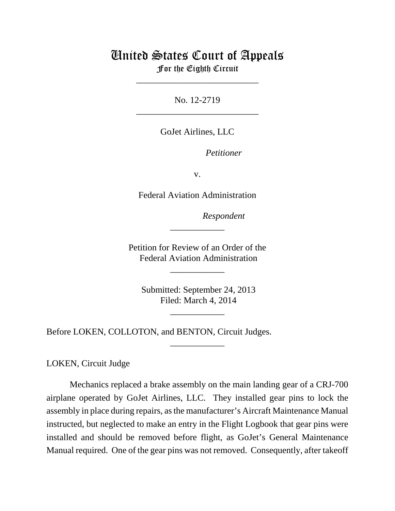## United States Court of Appeals For the Eighth Circuit

\_\_\_\_\_\_\_\_\_\_\_\_\_\_\_\_\_\_\_\_\_\_\_\_\_\_\_

No. 12-2719 \_\_\_\_\_\_\_\_\_\_\_\_\_\_\_\_\_\_\_\_\_\_\_\_\_\_\_

GoJet Airlines, LLC

Petitioner

v.

Federal Aviation Administration

lllllllllllllllllllll*Respondent*

Petition for Review of an Order of the Federal Aviation Administration

\_\_\_\_\_\_\_\_\_\_\_\_

\_\_\_\_\_\_\_\_\_\_\_\_

 Submitted: September 24, 2013 Filed: March 4, 2014

\_\_\_\_\_\_\_\_\_\_\_\_

\_\_\_\_\_\_\_\_\_\_\_\_

Before LOKEN, COLLOTON, and BENTON, Circuit Judges.

LOKEN, Circuit Judge

Mechanics replaced a brake assembly on the main landing gear of a CRJ-700 airplane operated by GoJet Airlines, LLC. They installed gear pins to lock the assembly in place during repairs, as the manufacturer's Aircraft Maintenance Manual instructed, but neglected to make an entry in the Flight Logbook that gear pins were installed and should be removed before flight, as GoJet's General Maintenance Manual required. One of the gear pins was not removed. Consequently, after takeoff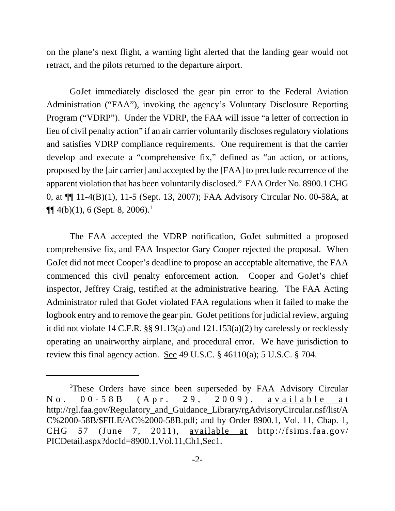on the plane's next flight, a warning light alerted that the landing gear would not retract, and the pilots returned to the departure airport.

GoJet immediately disclosed the gear pin error to the Federal Aviation Administration ("FAA"), invoking the agency's Voluntary Disclosure Reporting Program ("VDRP"). Under the VDRP, the FAA will issue "a letter of correction in lieu of civil penalty action" if an air carrier voluntarily discloses regulatory violations and satisfies VDRP compliance requirements. One requirement is that the carrier develop and execute a "comprehensive fix," defined as "an action, or actions, proposed by the [air carrier] and accepted by the [FAA] to preclude recurrence of the apparent violation that has been voluntarily disclosed." FAA Order No. 8900.1 CHG 0, at ¶¶ 11-4(B)(1), 11-5 (Sept. 13, 2007); FAA Advisory Circular No. 00-58A, at  $\P\P$  4(b)(1), 6 (Sept. 8, 2006).<sup>1</sup>

The FAA accepted the VDRP notification, GoJet submitted a proposed comprehensive fix, and FAA Inspector Gary Cooper rejected the proposal. When GoJet did not meet Cooper's deadline to propose an acceptable alternative, the FAA commenced this civil penalty enforcement action. Cooper and GoJet's chief inspector, Jeffrey Craig, testified at the administrative hearing. The FAA Acting Administrator ruled that GoJet violated FAA regulations when it failed to make the logbook entry and to remove the gear pin. GoJet petitions for judicial review, arguing it did not violate 14 C.F.R. §§ 91.13(a) and 121.153(a)(2) by carelessly or recklessly operating an unairworthy airplane, and procedural error. We have jurisdiction to review this final agency action. See 49 U.S.C. § 46110(a); 5 U.S.C. § 704.

<sup>&</sup>lt;sup>1</sup>These Orders have since been superseded by FAA Advisory Circular No. 00-58B (Apr. 29, 2009), available at http://rgl.faa.gov/Regulatory\_and\_Guidance\_Library/rgAdvisoryCircular.nsf/list/A C%2000-58B/\$FILE/AC%2000-58B.pdf; and by Order 8900.1, Vol. 11, Chap. 1, CHG 57 (June 7, 2011), available at http://fsims.faa.gov/ PICDetail.aspx?docId=8900.1,Vol.11,Ch1,Sec1.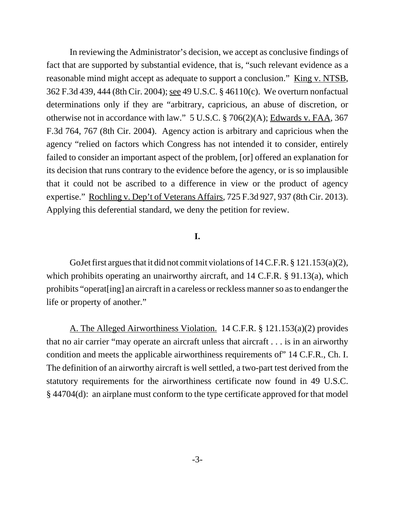In reviewing the Administrator's decision, we accept as conclusive findings of fact that are supported by substantial evidence, that is, "such relevant evidence as a reasonable mind might accept as adequate to support a conclusion." King v. NTSB, 362 F.3d 439, 444 (8th Cir. 2004); see 49 U.S.C. § 46110(c). We overturn nonfactual determinations only if they are "arbitrary, capricious, an abuse of discretion, or otherwise not in accordance with law." 5 U.S.C. § 706(2)(A); Edwards v. FAA, 367 F.3d 764, 767 (8th Cir. 2004). Agency action is arbitrary and capricious when the agency "relied on factors which Congress has not intended it to consider, entirely failed to consider an important aspect of the problem, [or] offered an explanation for its decision that runs contrary to the evidence before the agency, or is so implausible that it could not be ascribed to a difference in view or the product of agency expertise." Rochling v. Dep't of Veterans Affairs, 725 F.3d 927, 937 (8th Cir. 2013). Applying this deferential standard, we deny the petition for review.

## **I.**

GoJet first argues that it did not commit violations of 14 C.F.R. § 121.153(a)(2), which prohibits operating an unairworthy aircraft, and 14 C.F.R. § 91.13(a), which prohibits "operat[ing] an aircraft in a careless or reckless manner so as to endanger the life or property of another."

A. The Alleged Airworthiness Violation. 14 C.F.R. § 121.153(a)(2) provides that no air carrier "may operate an aircraft unless that aircraft . . . is in an airworthy condition and meets the applicable airworthiness requirements of" 14 C.F.R., Ch. I. The definition of an airworthy aircraft is well settled, a two-part test derived from the statutory requirements for the airworthiness certificate now found in 49 U.S.C. § 44704(d): an airplane must conform to the type certificate approved for that model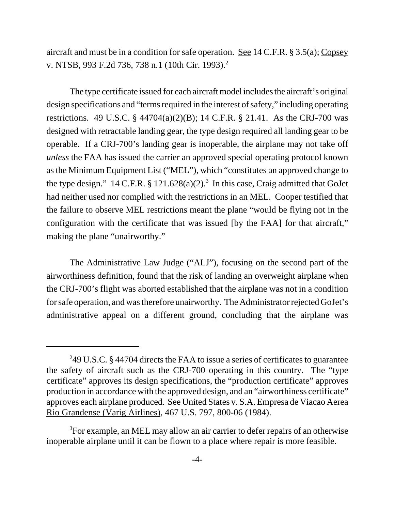aircraft and must be in a condition for safe operation. See 14 C.F.R. § 3.5(a); Copsey v. NTSB, 993 F.2d 736, 738 n.1 (10th Cir. 1993).<sup>2</sup>

The type certificate issued for each aircraft model includes the aircraft's original design specifications and "terms required in the interest of safety," including operating restrictions. 49 U.S.C. § 44704(a)(2)(B); 14 C.F.R. § 21.41. As the CRJ-700 was designed with retractable landing gear, the type design required all landing gear to be operable. If a CRJ-700's landing gear is inoperable, the airplane may not take off *unless* the FAA has issued the carrier an approved special operating protocol known as the Minimum Equipment List ("MEL"), which "constitutes an approved change to the type design."  $14$  C.F.R. §  $121.628(a)(2)$ .<sup>3</sup> In this case, Craig admitted that GoJet had neither used nor complied with the restrictions in an MEL. Cooper testified that the failure to observe MEL restrictions meant the plane "would be flying not in the configuration with the certificate that was issued [by the FAA] for that aircraft," making the plane "unairworthy."

The Administrative Law Judge ("ALJ"), focusing on the second part of the airworthiness definition, found that the risk of landing an overweight airplane when the CRJ-700's flight was aborted established that the airplane was not in a condition for safe operation, and was therefore unairworthy. The Administrator rejected GoJet's administrative appeal on a different ground, concluding that the airplane was

<sup>&</sup>lt;sup>2</sup>49 U.S.C. § 44704 directs the FAA to issue a series of certificates to guarantee the safety of aircraft such as the CRJ-700 operating in this country. The "type certificate" approves its design specifications, the "production certificate" approves production in accordance with the approved design, and an "airworthiness certificate" approves each airplane produced. See United States v. S.A. Empresa de Viacao Aerea Rio Grandense (Varig Airlines), 467 U.S. 797, 800-06 (1984).

<sup>&</sup>lt;sup>3</sup>For example, an MEL may allow an air carrier to defer repairs of an otherwise inoperable airplane until it can be flown to a place where repair is more feasible.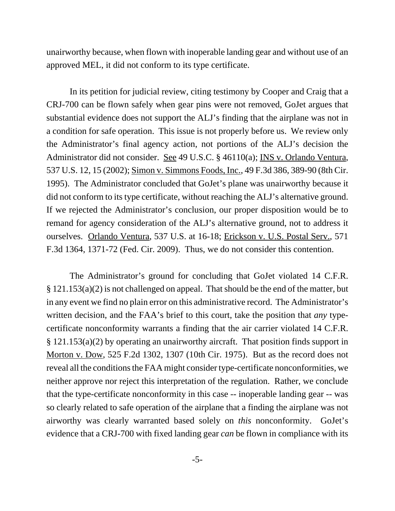unairworthy because, when flown with inoperable landing gear and without use of an approved MEL, it did not conform to its type certificate.

In its petition for judicial review, citing testimony by Cooper and Craig that a CRJ-700 can be flown safely when gear pins were not removed, GoJet argues that substantial evidence does not support the ALJ's finding that the airplane was not in a condition for safe operation. This issue is not properly before us. We review only the Administrator's final agency action, not portions of the ALJ's decision the Administrator did not consider. See 49 U.S.C. § 46110(a); INS v. Orlando Ventura, 537 U.S. 12, 15 (2002); Simon v. Simmons Foods, Inc., 49 F.3d 386, 389-90 (8th Cir. 1995). The Administrator concluded that GoJet's plane was unairworthy because it did not conform to its type certificate, without reaching the ALJ's alternative ground. If we rejected the Administrator's conclusion, our proper disposition would be to remand for agency consideration of the ALJ's alternative ground, not to address it ourselves. Orlando Ventura, 537 U.S. at 16-18; Erickson v. U.S. Postal Serv., 571 F.3d 1364, 1371-72 (Fed. Cir. 2009). Thus, we do not consider this contention.

The Administrator's ground for concluding that GoJet violated 14 C.F.R. § 121.153(a)(2) is not challenged on appeal. That should be the end of the matter, but in any event we find no plain error on this administrative record. The Administrator's written decision, and the FAA's brief to this court, take the position that *any* typecertificate nonconformity warrants a finding that the air carrier violated 14 C.F.R. § 121.153(a)(2) by operating an unairworthy aircraft. That position finds support in Morton v. Dow, 525 F.2d 1302, 1307 (10th Cir. 1975). But as the record does not reveal all the conditions the FAA might consider type-certificate nonconformities, we neither approve nor reject this interpretation of the regulation. Rather, we conclude that the type-certificate nonconformity in this case -- inoperable landing gear -- was so clearly related to safe operation of the airplane that a finding the airplane was not airworthy was clearly warranted based solely on *this* nonconformity. GoJet's evidence that a CRJ-700 with fixed landing gear *can* be flown in compliance with its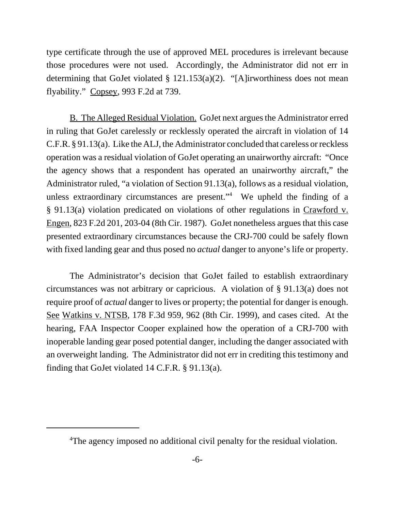type certificate through the use of approved MEL procedures is irrelevant because those procedures were not used. Accordingly, the Administrator did not err in determining that GoJet violated § 121.153(a)(2). "[A]irworthiness does not mean flyability." Copsey, 993 F.2d at 739.

B. The Alleged Residual Violation. GoJet next argues the Administrator erred in ruling that GoJet carelessly or recklessly operated the aircraft in violation of 14 C.F.R. § 91.13(a). Like the ALJ, the Administrator concluded that careless or reckless operation was a residual violation of GoJet operating an unairworthy aircraft: "Once the agency shows that a respondent has operated an unairworthy aircraft," the Administrator ruled, "a violation of Section 91.13(a), follows as a residual violation, unless extraordinary circumstances are present."<sup>4</sup> We upheld the finding of a § 91.13(a) violation predicated on violations of other regulations in Crawford v. Engen, 823 F.2d 201, 203-04 (8th Cir. 1987). GoJet nonetheless argues that this case presented extraordinary circumstances because the CRJ-700 could be safely flown with fixed landing gear and thus posed no *actual* danger to anyone's life or property.

The Administrator's decision that GoJet failed to establish extraordinary circumstances was not arbitrary or capricious. A violation of § 91.13(a) does not require proof of *actual* danger to lives or property; the potential for danger is enough. See Watkins v. NTSB, 178 F.3d 959, 962 (8th Cir. 1999), and cases cited. At the hearing, FAA Inspector Cooper explained how the operation of a CRJ-700 with inoperable landing gear posed potential danger, including the danger associated with an overweight landing. The Administrator did not err in crediting this testimony and finding that GoJet violated 14 C.F.R. § 91.13(a).

<sup>&</sup>lt;sup>4</sup>The agency imposed no additional civil penalty for the residual violation.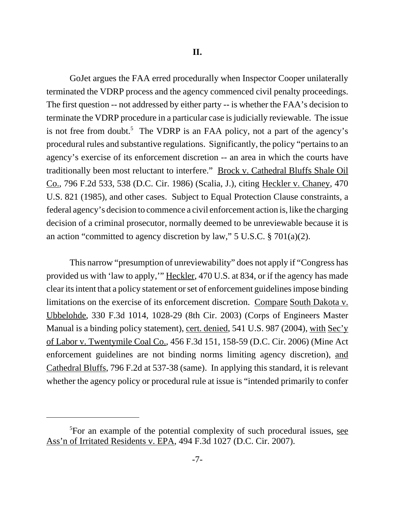GoJet argues the FAA erred procedurally when Inspector Cooper unilaterally terminated the VDRP process and the agency commenced civil penalty proceedings. The first question -- not addressed by either party -- is whether the FAA's decision to terminate the VDRP procedure in a particular case is judicially reviewable. The issue is not free from doubt.<sup>5</sup> The VDRP is an FAA policy, not a part of the agency's procedural rules and substantive regulations. Significantly, the policy "pertains to an agency's exercise of its enforcement discretion -- an area in which the courts have traditionally been most reluctant to interfere." Brock v. Cathedral Bluffs Shale Oil Co., 796 F.2d 533, 538 (D.C. Cir. 1986) (Scalia, J.), citing Heckler v. Chaney, 470 U.S. 821 (1985), and other cases. Subject to Equal Protection Clause constraints, a federal agency's decision to commence a civil enforcement action is, like the charging decision of a criminal prosecutor, normally deemed to be unreviewable because it is an action "committed to agency discretion by law," 5 U.S.C. § 701(a)(2).

This narrow "presumption of unreviewability" does not apply if "Congress has provided us with 'law to apply,'" Heckler, 470 U.S. at 834, or if the agency has made clear its intent that a policy statement or set of enforcement guidelines impose binding limitations on the exercise of its enforcement discretion. Compare South Dakota v. Ubbelohde, 330 F.3d 1014, 1028-29 (8th Cir. 2003) (Corps of Engineers Master Manual is a binding policy statement), cert. denied, 541 U.S. 987 (2004), with Sec'y of Labor v. Twentymile Coal Co., 456 F.3d 151, 158-59 (D.C. Cir. 2006) (Mine Act enforcement guidelines are not binding norms limiting agency discretion), and Cathedral Bluffs, 796 F.2d at 537-38 (same). In applying this standard, it is relevant whether the agency policy or procedural rule at issue is "intended primarily to confer

<sup>&</sup>lt;sup>5</sup>For an example of the potential complexity of such procedural issues, see Ass'n of Irritated Residents v. EPA, 494 F.3d 1027 (D.C. Cir. 2007).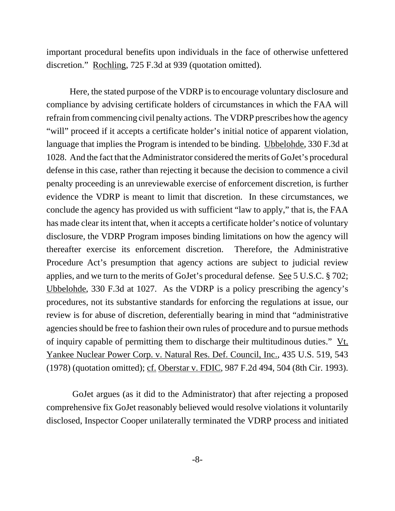important procedural benefits upon individuals in the face of otherwise unfettered discretion." Rochling, 725 F.3d at 939 (quotation omitted).

Here, the stated purpose of the VDRP is to encourage voluntary disclosure and compliance by advising certificate holders of circumstances in which the FAA will refrain from commencing civil penalty actions. The VDRP prescribes how the agency "will" proceed if it accepts a certificate holder's initial notice of apparent violation, language that implies the Program is intended to be binding. Ubbelohde, 330 F.3d at 1028. And the fact that the Administrator considered the merits of GoJet's procedural defense in this case, rather than rejecting it because the decision to commence a civil penalty proceeding is an unreviewable exercise of enforcement discretion, is further evidence the VDRP is meant to limit that discretion. In these circumstances, we conclude the agency has provided us with sufficient "law to apply," that is, the FAA has made clear its intent that, when it accepts a certificate holder's notice of voluntary disclosure, the VDRP Program imposes binding limitations on how the agency will thereafter exercise its enforcement discretion. Therefore, the Administrative Procedure Act's presumption that agency actions are subject to judicial review applies, and we turn to the merits of GoJet's procedural defense. See 5 U.S.C. § 702; Ubbelohde, 330 F.3d at 1027. As the VDRP is a policy prescribing the agency's procedures, not its substantive standards for enforcing the regulations at issue, our review is for abuse of discretion, deferentially bearing in mind that "administrative agencies should be free to fashion their own rules of procedure and to pursue methods of inquiry capable of permitting them to discharge their multitudinous duties." Vt. Yankee Nuclear Power Corp. v. Natural Res. Def. Council, Inc., 435 U.S. 519, 543 (1978) (quotation omitted); cf. Oberstar v. FDIC, 987 F.2d 494, 504 (8th Cir. 1993).

 GoJet argues (as it did to the Administrator) that after rejecting a proposed comprehensive fix GoJet reasonably believed would resolve violations it voluntarily disclosed, Inspector Cooper unilaterally terminated the VDRP process and initiated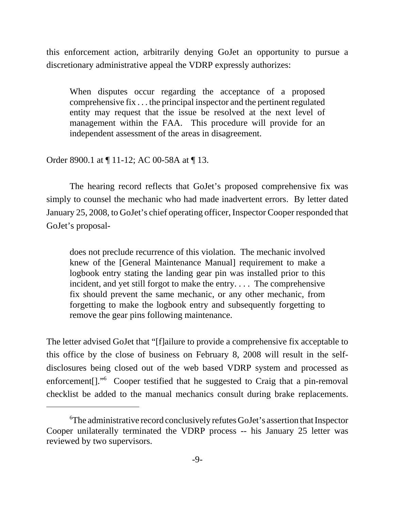this enforcement action, arbitrarily denying GoJet an opportunity to pursue a discretionary administrative appeal the VDRP expressly authorizes:

When disputes occur regarding the acceptance of a proposed comprehensive fix . . . the principal inspector and the pertinent regulated entity may request that the issue be resolved at the next level of management within the FAA. This procedure will provide for an independent assessment of the areas in disagreement.

Order 8900.1 at ¶ 11-12; AC 00-58A at ¶ 13.

The hearing record reflects that GoJet's proposed comprehensive fix was simply to counsel the mechanic who had made inadvertent errors. By letter dated January 25, 2008, to GoJet's chief operating officer, Inspector Cooper responded that GoJet's proposal-

does not preclude recurrence of this violation. The mechanic involved knew of the [General Maintenance Manual] requirement to make a logbook entry stating the landing gear pin was installed prior to this incident, and yet still forgot to make the entry. . . . The comprehensive fix should prevent the same mechanic, or any other mechanic, from forgetting to make the logbook entry and subsequently forgetting to remove the gear pins following maintenance.

The letter advised GoJet that "[f]ailure to provide a comprehensive fix acceptable to this office by the close of business on February 8, 2008 will result in the selfdisclosures being closed out of the web based VDRP system and processed as enforcement[]."<sup>6</sup> Cooper testified that he suggested to Craig that a pin-removal checklist be added to the manual mechanics consult during brake replacements.

<sup>6</sup> The administrative record conclusively refutes GoJet's assertion that Inspector Cooper unilaterally terminated the VDRP process -- his January 25 letter was reviewed by two supervisors.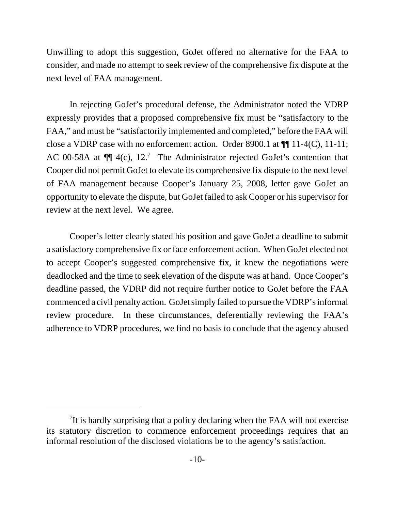Unwilling to adopt this suggestion, GoJet offered no alternative for the FAA to consider, and made no attempt to seek review of the comprehensive fix dispute at the next level of FAA management.

In rejecting GoJet's procedural defense, the Administrator noted the VDRP expressly provides that a proposed comprehensive fix must be "satisfactory to the FAA," and must be "satisfactorily implemented and completed," before the FAA will close a VDRP case with no enforcement action. Order 8900.1 at ¶¶ 11-4(C), 11-11; AC 00-58A at  $\P$  $[$  4(c), 12.<sup>7</sup> The Administrator rejected GoJet's contention that Cooper did not permit GoJet to elevate its comprehensive fix dispute to the next level of FAA management because Cooper's January 25, 2008, letter gave GoJet an opportunity to elevate the dispute, but GoJet failed to ask Cooper or his supervisor for review at the next level. We agree.

Cooper's letter clearly stated his position and gave GoJet a deadline to submit a satisfactory comprehensive fix or face enforcement action. When GoJet elected not to accept Cooper's suggested comprehensive fix, it knew the negotiations were deadlocked and the time to seek elevation of the dispute was at hand. Once Cooper's deadline passed, the VDRP did not require further notice to GoJet before the FAA commenced a civil penalty action. GoJet simply failed to pursue the VDRP's informal review procedure. In these circumstances, deferentially reviewing the FAA's adherence to VDRP procedures, we find no basis to conclude that the agency abused

 $7$ It is hardly surprising that a policy declaring when the FAA will not exercise its statutory discretion to commence enforcement proceedings requires that an informal resolution of the disclosed violations be to the agency's satisfaction.